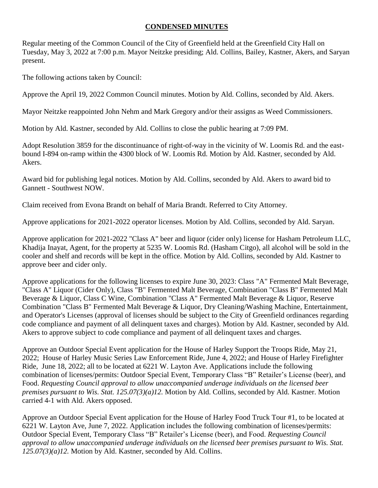## **CONDENSED MINUTES**

Regular meeting of the Common Council of the City of Greenfield held at the Greenfield City Hall on Tuesday, May 3, 2022 at 7:00 p.m. Mayor Neitzke presiding; Ald. Collins, Bailey, Kastner, Akers, and Saryan present.

The following actions taken by Council:

Approve the April 19, 2022 Common Council minutes. Motion by Ald. Collins, seconded by Ald. Akers.

Mayor Neitzke reappointed John Nehm and Mark Gregory and/or their assigns as Weed Commissioners.

Motion by Ald. Kastner, seconded by Ald. Collins to close the public hearing at 7:09 PM.

Adopt Resolution 3859 for the discontinuance of right-of-way in the vicinity of W. Loomis Rd. and the eastbound I-894 on-ramp within the 4300 block of W. Loomis Rd. Motion by Ald. Kastner, seconded by Ald. Akers.

Award bid for publishing legal notices. Motion by Ald. Collins, seconded by Ald. Akers to award bid to Gannett - Southwest NOW.

Claim received from Evona Brandt on behalf of Maria Brandt. Referred to City Attorney.

Approve applications for 2021-2022 operator licenses. Motion by Ald. Collins, seconded by Ald. Saryan.

Approve application for 2021-2022 "Class A" beer and liquor (cider only) license for Hasham Petroleum LLC, Khadija Inayat, Agent, for the property at 5235 W. Loomis Rd. (Hasham Citgo), all alcohol will be sold in the cooler and shelf and records will be kept in the office. Motion by Ald. Collins, seconded by Ald. Kastner to approve beer and cider only.

Approve applications for the following licenses to expire June 30, 2023: Class "A" Fermented Malt Beverage, "Class A" Liquor (Cider Only), Class "B" Fermented Malt Beverage, Combination "Class B" Fermented Malt Beverage & Liquor, Class C Wine, Combination "Class A" Fermented Malt Beverage & Liquor, Reserve Combination "Class B" Fermented Malt Beverage & Liquor, Dry Cleaning/Washing Machine, Entertainment, and Operator's Licenses (approval of licenses should be subject to the City of Greenfield ordinances regarding code compliance and payment of all delinquent taxes and charges). Motion by Ald. Kastner, seconded by Ald. Akers to approve subject to code compliance and payment of all delinquent taxes and charges.

Approve an Outdoor Special Event application for the House of Harley Support the Troops Ride, May 21, 2022; House of Harley Music Series Law Enforcement Ride, June 4, 2022; and House of Harley Firefighter Ride, June 18, 2022; all to be located at 6221 W. Layton Ave. Applications include the following combination of licenses/permits: Outdoor Special Event, Temporary Class "B" Retailer's License (beer), and Food. *Requesting Council approval to allow unaccompanied underage individuals on the licensed beer premises pursuant to Wis. Stat. 125.07(3)(a)12.* Motion by Ald. Collins, seconded by Ald. Kastner. Motion carried 4-1 with Ald. Akers opposed.

Approve an Outdoor Special Event application for the House of Harley Food Truck Tour #1, to be located at 6221 W. Layton Ave, June 7, 2022. Application includes the following combination of licenses/permits: Outdoor Special Event, Temporary Class "B" Retailer's License (beer), and Food. *Requesting Council approval to allow unaccompanied underage individuals on the licensed beer premises pursuant to Wis. Stat. 125.07(3)(a)12.* Motion by Ald. Kastner, seconded by Ald. Collins.